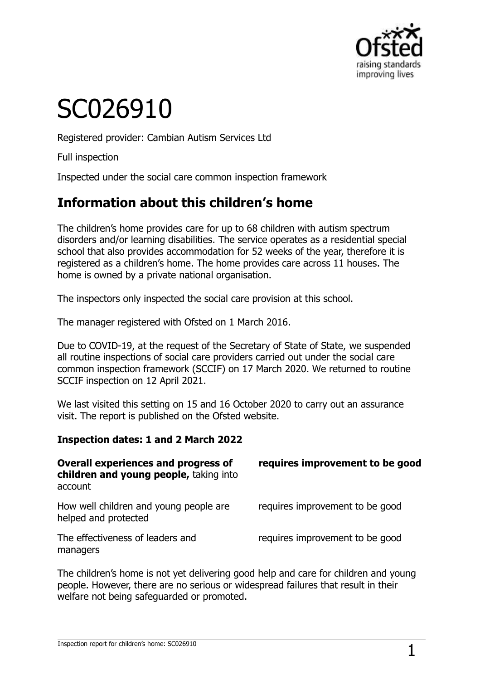

# SC026910

Registered provider: Cambian Autism Services Ltd

Full inspection

Inspected under the social care common inspection framework

# **Information about this children's home**

The children's home provides care for up to 68 children with autism spectrum disorders and/or learning disabilities. The service operates as a residential special school that also provides accommodation for 52 weeks of the year, therefore it is registered as a children's home. The home provides care across 11 houses. The home is owned by a private national organisation.

The inspectors only inspected the social care provision at this school.

The manager registered with Ofsted on 1 March 2016.

Due to COVID-19, at the request of the Secretary of State of State, we suspended all routine inspections of social care providers carried out under the social care common inspection framework (SCCIF) on 17 March 2020. We returned to routine SCCIF inspection on 12 April 2021.

We last visited this setting on 15 and 16 October 2020 to carry out an assurance visit. The report is published on the Ofsted website.

#### **Inspection dates: 1 and 2 March 2022**

| <b>Overall experiences and progress of</b><br>children and young people, taking into<br>account | requires improvement to be good |
|-------------------------------------------------------------------------------------------------|---------------------------------|
| How well children and young people are<br>helped and protected                                  | requires improvement to be good |
| The effectiveness of leaders and<br>managers                                                    | requires improvement to be good |

The children's home is not yet delivering good help and care for children and young people. However, there are no serious or widespread failures that result in their welfare not being safeguarded or promoted.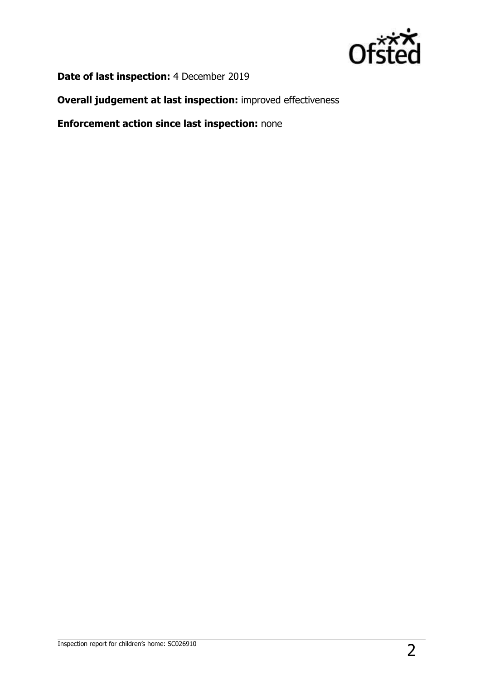

**Date of last inspection:** 4 December 2019

**Overall judgement at last inspection:** improved effectiveness

**Enforcement action since last inspection:** none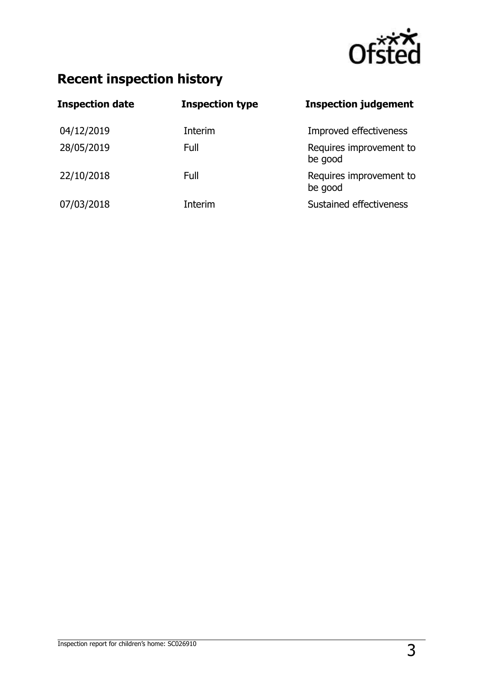

# **Recent inspection history**

| <b>Inspection date</b> | <b>Inspection type</b> | <b>Inspection judgement</b>        |
|------------------------|------------------------|------------------------------------|
| 04/12/2019             | Interim                | Improved effectiveness             |
| 28/05/2019             | Full                   | Requires improvement to<br>be good |
| 22/10/2018             | Full                   | Requires improvement to<br>be good |
| 07/03/2018             | Interim                | Sustained effectiveness            |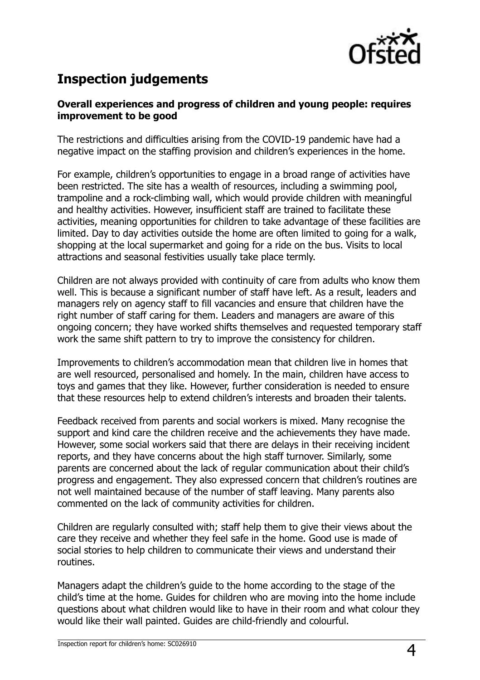

## **Inspection judgements**

#### **Overall experiences and progress of children and young people: requires improvement to be good**

The restrictions and difficulties arising from the COVID-19 pandemic have had a negative impact on the staffing provision and children's experiences in the home.

For example, children's opportunities to engage in a broad range of activities have been restricted. The site has a wealth of resources, including a swimming pool, trampoline and a rock-climbing wall, which would provide children with meaningful and healthy activities. However, insufficient staff are trained to facilitate these activities, meaning opportunities for children to take advantage of these facilities are limited. Day to day activities outside the home are often limited to going for a walk, shopping at the local supermarket and going for a ride on the bus. Visits to local attractions and seasonal festivities usually take place termly.

Children are not always provided with continuity of care from adults who know them well. This is because a significant number of staff have left. As a result, leaders and managers rely on agency staff to fill vacancies and ensure that children have the right number of staff caring for them. Leaders and managers are aware of this ongoing concern; they have worked shifts themselves and requested temporary staff work the same shift pattern to try to improve the consistency for children.

Improvements to children's accommodation mean that children live in homes that are well resourced, personalised and homely. In the main, children have access to toys and games that they like. However, further consideration is needed to ensure that these resources help to extend children's interests and broaden their talents.

Feedback received from parents and social workers is mixed. Many recognise the support and kind care the children receive and the achievements they have made. However, some social workers said that there are delays in their receiving incident reports, and they have concerns about the high staff turnover. Similarly, some parents are concerned about the lack of regular communication about their child's progress and engagement. They also expressed concern that children's routines are not well maintained because of the number of staff leaving. Many parents also commented on the lack of community activities for children.

Children are regularly consulted with; staff help them to give their views about the care they receive and whether they feel safe in the home. Good use is made of social stories to help children to communicate their views and understand their routines.

Managers adapt the children's guide to the home according to the stage of the child's time at the home. Guides for children who are moving into the home include questions about what children would like to have in their room and what colour they would like their wall painted. Guides are child-friendly and colourful.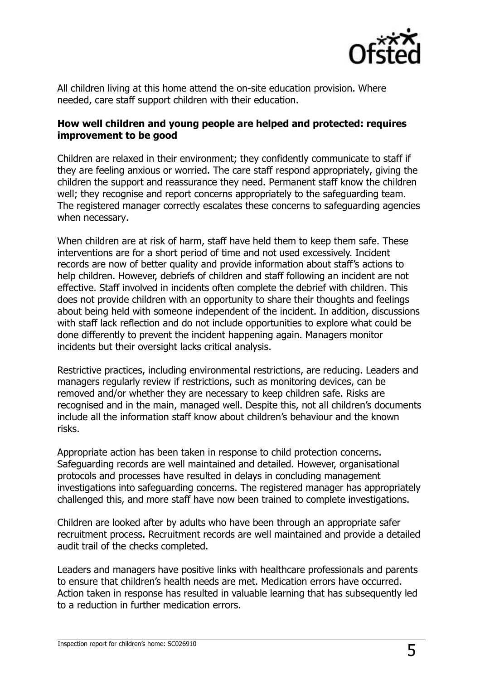

All children living at this home attend the on-site education provision. Where needed, care staff support children with their education.

#### **How well children and young people are helped and protected: requires improvement to be good**

Children are relaxed in their environment; they confidently communicate to staff if they are feeling anxious or worried. The care staff respond appropriately, giving the children the support and reassurance they need. Permanent staff know the children well; they recognise and report concerns appropriately to the safeguarding team. The registered manager correctly escalates these concerns to safeguarding agencies when necessary.

When children are at risk of harm, staff have held them to keep them safe. These interventions are for a short period of time and not used excessively. Incident records are now of better quality and provide information about staff's actions to help children. However, debriefs of children and staff following an incident are not effective. Staff involved in incidents often complete the debrief with children. This does not provide children with an opportunity to share their thoughts and feelings about being held with someone independent of the incident. In addition, discussions with staff lack reflection and do not include opportunities to explore what could be done differently to prevent the incident happening again. Managers monitor incidents but their oversight lacks critical analysis.

Restrictive practices, including environmental restrictions, are reducing. Leaders and managers regularly review if restrictions, such as monitoring devices, can be removed and/or whether they are necessary to keep children safe. Risks are recognised and in the main, managed well. Despite this, not all children's documents include all the information staff know about children's behaviour and the known risks.

Appropriate action has been taken in response to child protection concerns. Safeguarding records are well maintained and detailed. However, organisational protocols and processes have resulted in delays in concluding management investigations into safeguarding concerns. The registered manager has appropriately challenged this, and more staff have now been trained to complete investigations.

Children are looked after by adults who have been through an appropriate safer recruitment process. Recruitment records are well maintained and provide a detailed audit trail of the checks completed.

Leaders and managers have positive links with healthcare professionals and parents to ensure that children's health needs are met. Medication errors have occurred. Action taken in response has resulted in valuable learning that has subsequently led to a reduction in further medication errors.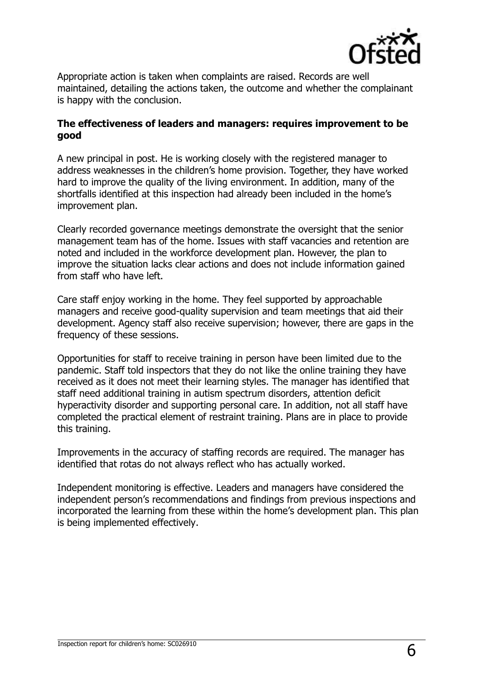

Appropriate action is taken when complaints are raised. Records are well maintained, detailing the actions taken, the outcome and whether the complainant is happy with the conclusion.

#### **The effectiveness of leaders and managers: requires improvement to be good**

A new principal in post. He is working closely with the registered manager to address weaknesses in the children's home provision. Together, they have worked hard to improve the quality of the living environment. In addition, many of the shortfalls identified at this inspection had already been included in the home's improvement plan.

Clearly recorded governance meetings demonstrate the oversight that the senior management team has of the home. Issues with staff vacancies and retention are noted and included in the workforce development plan. However, the plan to improve the situation lacks clear actions and does not include information gained from staff who have left.

Care staff enjoy working in the home. They feel supported by approachable managers and receive good-quality supervision and team meetings that aid their development. Agency staff also receive supervision; however, there are gaps in the frequency of these sessions.

Opportunities for staff to receive training in person have been limited due to the pandemic. Staff told inspectors that they do not like the online training they have received as it does not meet their learning styles. The manager has identified that staff need additional training in autism spectrum disorders, attention deficit hyperactivity disorder and supporting personal care. In addition, not all staff have completed the practical element of restraint training. Plans are in place to provide this training.

Improvements in the accuracy of staffing records are required. The manager has identified that rotas do not always reflect who has actually worked.

Independent monitoring is effective. Leaders and managers have considered the independent person's recommendations and findings from previous inspections and incorporated the learning from these within the home's development plan. This plan is being implemented effectively.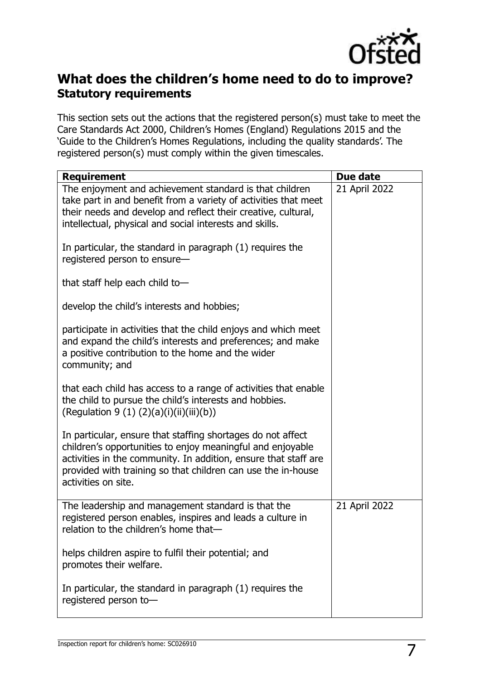

### **What does the children's home need to do to improve? Statutory requirements**

This section sets out the actions that the registered person(s) must take to meet the Care Standards Act 2000, Children's Homes (England) Regulations 2015 and the 'Guide to the Children's Homes Regulations, including the quality standards'. The registered person(s) must comply within the given timescales.

| <b>Requirement</b>                                                                                                                                                                                                                                                                  | Due date      |
|-------------------------------------------------------------------------------------------------------------------------------------------------------------------------------------------------------------------------------------------------------------------------------------|---------------|
| The enjoyment and achievement standard is that children<br>take part in and benefit from a variety of activities that meet<br>their needs and develop and reflect their creative, cultural,<br>intellectual, physical and social interests and skills.                              | 21 April 2022 |
| In particular, the standard in paragraph (1) requires the<br>registered person to ensure-                                                                                                                                                                                           |               |
| that staff help each child to-                                                                                                                                                                                                                                                      |               |
| develop the child's interests and hobbies;                                                                                                                                                                                                                                          |               |
| participate in activities that the child enjoys and which meet<br>and expand the child's interests and preferences; and make<br>a positive contribution to the home and the wider<br>community; and                                                                                 |               |
| that each child has access to a range of activities that enable<br>the child to pursue the child's interests and hobbies.<br>(Regulation 9 (1) (2)(a)(i)(ii)(iii)(b))                                                                                                               |               |
| In particular, ensure that staffing shortages do not affect<br>children's opportunities to enjoy meaningful and enjoyable<br>activities in the community. In addition, ensure that staff are<br>provided with training so that children can use the in-house<br>activities on site. |               |
| The leadership and management standard is that the<br>registered person enables, inspires and leads a culture in<br>relation to the children's home that-                                                                                                                           | 21 April 2022 |
| helps children aspire to fulfil their potential; and<br>promotes their welfare.                                                                                                                                                                                                     |               |
| In particular, the standard in paragraph (1) requires the<br>registered person to-                                                                                                                                                                                                  |               |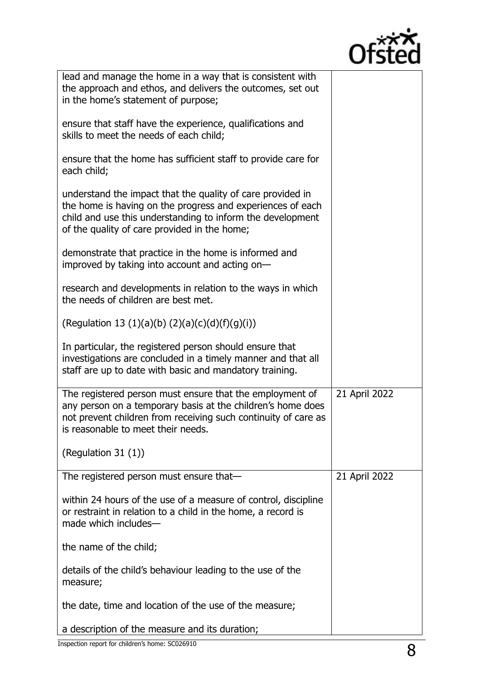

| lead and manage the home in a way that is consistent with<br>the approach and ethos, and delivers the outcomes, set out<br>in the home's statement of purpose;                                                                         |               |
|----------------------------------------------------------------------------------------------------------------------------------------------------------------------------------------------------------------------------------------|---------------|
| ensure that staff have the experience, qualifications and<br>skills to meet the needs of each child;                                                                                                                                   |               |
| ensure that the home has sufficient staff to provide care for<br>each child;                                                                                                                                                           |               |
| understand the impact that the quality of care provided in<br>the home is having on the progress and experiences of each<br>child and use this understanding to inform the development<br>of the quality of care provided in the home; |               |
| demonstrate that practice in the home is informed and<br>improved by taking into account and acting on-                                                                                                                                |               |
| research and developments in relation to the ways in which<br>the needs of children are best met.                                                                                                                                      |               |
| (Regulation 13 (1)(a)(b) (2)(a)(c)(d)(f)(g)(i))                                                                                                                                                                                        |               |
| In particular, the registered person should ensure that<br>investigations are concluded in a timely manner and that all<br>staff are up to date with basic and mandatory training.                                                     |               |
| The registered person must ensure that the employment of<br>any person on a temporary basis at the children's home does<br>not prevent children from receiving such continuity of care as<br>is reasonable to meet their needs.        | 21 April 2022 |
| (Regulation 31 $(1)$ )                                                                                                                                                                                                                 |               |
| The registered person must ensure that-                                                                                                                                                                                                | 21 April 2022 |
| within 24 hours of the use of a measure of control, discipline<br>or restraint in relation to a child in the home, a record is<br>made which includes-                                                                                 |               |
| the name of the child;                                                                                                                                                                                                                 |               |
| details of the child's behaviour leading to the use of the<br>measure;                                                                                                                                                                 |               |
| the date, time and location of the use of the measure;                                                                                                                                                                                 |               |
| a description of the measure and its duration;                                                                                                                                                                                         |               |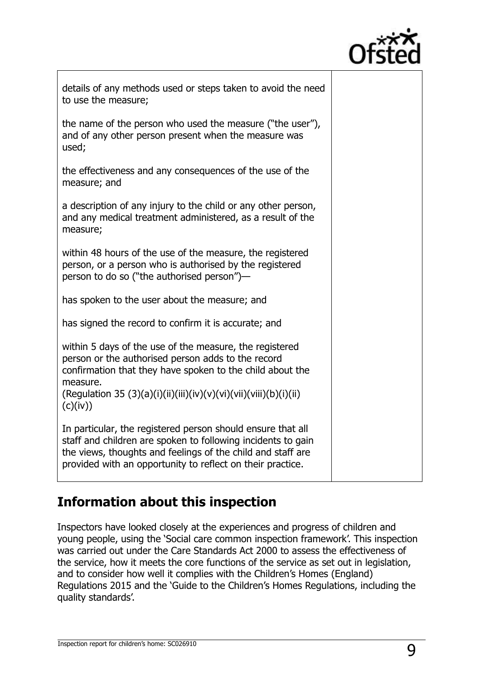

Τ

| details of any methods used or steps taken to avoid the need<br>to use the measure;                                                                                                                                                                                     |  |
|-------------------------------------------------------------------------------------------------------------------------------------------------------------------------------------------------------------------------------------------------------------------------|--|
| the name of the person who used the measure ("the user"),<br>and of any other person present when the measure was<br>used;                                                                                                                                              |  |
| the effectiveness and any consequences of the use of the<br>measure; and                                                                                                                                                                                                |  |
| a description of any injury to the child or any other person,<br>and any medical treatment administered, as a result of the<br>measure;                                                                                                                                 |  |
| within 48 hours of the use of the measure, the registered<br>person, or a person who is authorised by the registered<br>person to do so ("the authorised person")-                                                                                                      |  |
| has spoken to the user about the measure; and                                                                                                                                                                                                                           |  |
| has signed the record to confirm it is accurate; and                                                                                                                                                                                                                    |  |
| within 5 days of the use of the measure, the registered<br>person or the authorised person adds to the record<br>confirmation that they have spoken to the child about the<br>measure.<br>(Regulation 35 (3)(a)(i)(ii)(iii)(iv)(v)(vi)(vii)(viii)(b)(i)(ii)<br>(c)(iv)) |  |
| In particular, the registered person should ensure that all<br>staff and children are spoken to following incidents to gain<br>the views, thoughts and feelings of the child and staff are<br>provided with an opportunity to reflect on their practice.                |  |

# **Information about this inspection**

Inspectors have looked closely at the experiences and progress of children and young people, using the 'Social care common inspection framework'. This inspection was carried out under the Care Standards Act 2000 to assess the effectiveness of the service, how it meets the core functions of the service as set out in legislation, and to consider how well it complies with the Children's Homes (England) Regulations 2015 and the 'Guide to the Children's Homes Regulations, including the quality standards'.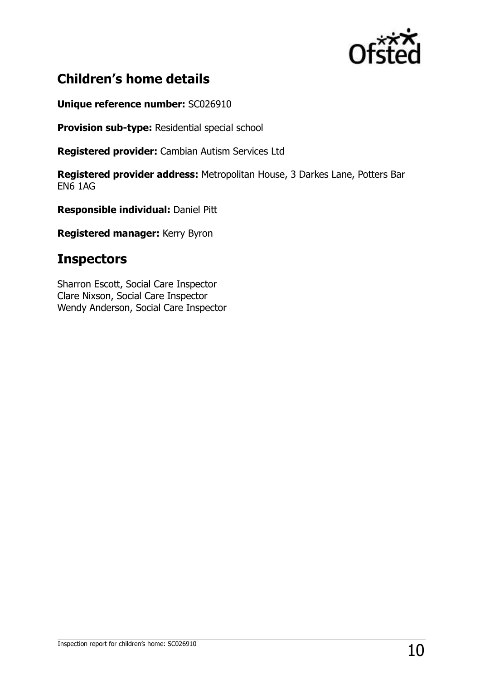

# **Children's home details**

**Unique reference number:** SC026910

**Provision sub-type:** Residential special school

**Registered provider:** Cambian Autism Services Ltd

**Registered provider address:** Metropolitan House, 3 Darkes Lane, Potters Bar EN6 1AG

**Responsible individual:** Daniel Pitt

**Registered manager:** Kerry Byron

## **Inspectors**

Sharron Escott, Social Care Inspector Clare Nixson, Social Care Inspector Wendy Anderson, Social Care Inspector